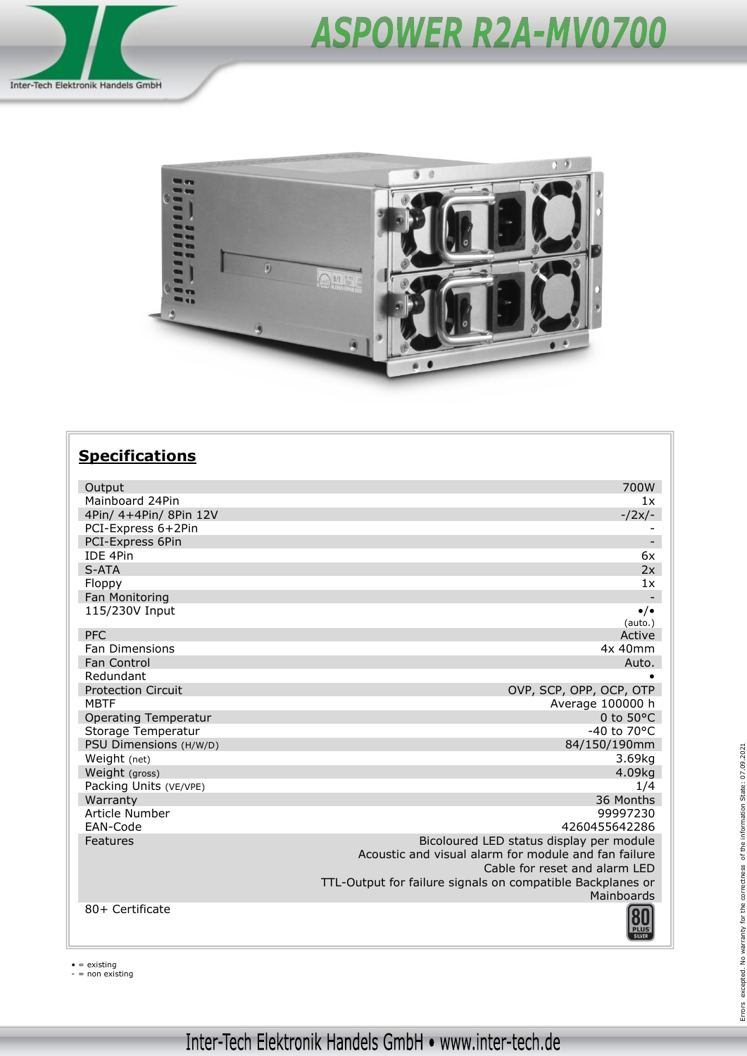





## **Specifications**

| Output                      | 700W                                                       |
|-----------------------------|------------------------------------------------------------|
| Mainboard 24Pin             | 1x                                                         |
| 4Pin/ 4+4Pin/ 8Pin 12V      | $-2x/-$                                                    |
| PCI-Express 6+2Pin          |                                                            |
| PCI-Express 6Pin            |                                                            |
| <b>IDE 4Pin</b>             | 6x                                                         |
| S-ATA                       | 2x                                                         |
| Floppy                      | 1x                                                         |
| Fan Monitoring              |                                                            |
| 115/230V Input              | $\bullet/\bullet$<br>(auto.)                               |
| <b>PFC</b>                  | Active                                                     |
| <b>Fan Dimensions</b>       | 4x 40mm                                                    |
| Fan Control                 | Auto.                                                      |
| Redundant                   |                                                            |
| <b>Protection Circuit</b>   | OVP, SCP, OPP, OCP, OTP                                    |
| <b>MBTF</b>                 | Average 100000 h                                           |
| <b>Operating Temperatur</b> | 0 to $50^{\circ}$ C                                        |
| Storage Temperatur          | $-40$ to $70^{\circ}$ C                                    |
| PSU Dimensions (H/W/D)      | 84/150/190mm                                               |
| Weight (net)                | 3.69kg                                                     |
| Weight (gross)              | 4.09kg                                                     |
| Packing Units (VE/VPE)      | 1/4                                                        |
| Warranty                    | 36 Months                                                  |
| Article Number              | 99997230                                                   |
| EAN-Code                    | 4260455642286                                              |
| Features                    | Bicoloured LED status display per module                   |
|                             | Acoustic and visual alarm for module and fan failure       |
|                             | Cable for reset and alarm LED                              |
|                             | TTL-Output for failure signals on compatible Backplanes or |
|                             | Mainboards                                                 |
| 80+ Certificate             |                                                            |
|                             |                                                            |

• = existing - = non existing